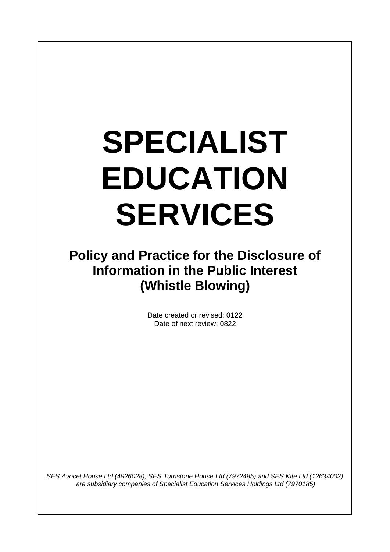# **SPECIALIST EDUCATION SERVICES**

## **Policy and Practice for the Disclosure of Information in the Public Interest (Whistle Blowing)**

Date created or revised: 0122 Date of next review: 0822

*SES Avocet House Ltd (4926028), SES Turnstone House Ltd (7972485) and SES Kite Ltd (12634002) are subsidiary companies of Specialist Education Services Holdings Ltd (7970185)*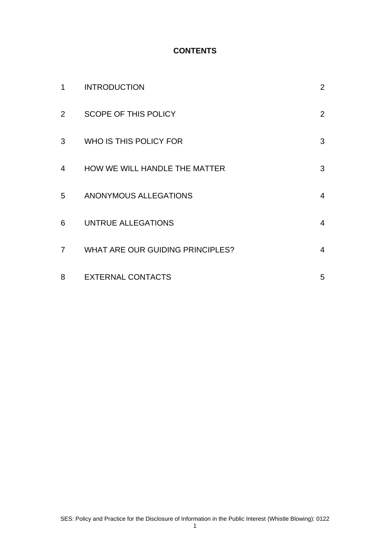#### **CONTENTS**

| 1              | <b>INTRODUCTION</b>                     | $\overline{2}$ |
|----------------|-----------------------------------------|----------------|
| $\overline{2}$ | <b>SCOPE OF THIS POLICY</b>             | $\overline{2}$ |
| 3              | WHO IS THIS POLICY FOR                  | 3              |
| 4              | HOW WE WILL HANDLE THE MATTER           | 3              |
| 5              | ANONYMOUS ALLEGATIONS                   | $\overline{4}$ |
| 6              | UNTRUE ALLEGATIONS                      | $\overline{4}$ |
| $\overline{7}$ | <b>WHAT ARE OUR GUIDING PRINCIPLES?</b> | 4              |
| 8              | <b>EXTERNAL CONTACTS</b>                | 5              |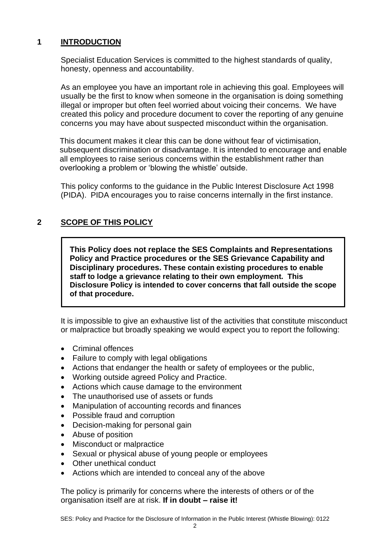#### **1 INTRODUCTION**

Specialist Education Services is committed to the highest standards of quality, honesty, openness and accountability.

As an employee you have an important role in achieving this goal. Employees will usually be the first to know when someone in the organisation is doing something illegal or improper but often feel worried about voicing their concerns. We have created this policy and procedure document to cover the reporting of any genuine concerns you may have about suspected misconduct within the organisation.

This document makes it clear this can be done without fear of victimisation, subsequent discrimination or disadvantage. It is intended to encourage and enable all employees to raise serious concerns within the establishment rather than overlooking a problem or 'blowing the whistle' outside.

This policy conforms to the guidance in the Public Interest Disclosure Act 1998 (PIDA). PIDA encourages you to raise concerns internally in the first instance.

### **2 SCOPE OF THIS POLICY**

**This Policy does not replace the SES Complaints and Representations Policy and Practice procedures or the SES Grievance Capability and Disciplinary procedures. These contain existing procedures to enable staff to lodge a grievance relating to their own employment. This Disclosure Policy is intended to cover concerns that fall outside the scope of that procedure.**

It is impossible to give an exhaustive list of the activities that constitute misconduct or malpractice but broadly speaking we would expect you to report the following:

- Criminal offences
- Failure to comply with legal obligations
- Actions that endanger the health or safety of employees or the public,
- Working outside agreed Policy and Practice.
- Actions which cause damage to the environment
- The unauthorised use of assets or funds
- Manipulation of accounting records and finances
- Possible fraud and corruption
- Decision-making for personal gain
- Abuse of position
- Misconduct or malpractice
- Sexual or physical abuse of young people or employees
- Other unethical conduct
- Actions which are intended to conceal any of the above

The policy is primarily for concerns where the interests of others or of the organisation itself are at risk. **If in doubt – raise it!**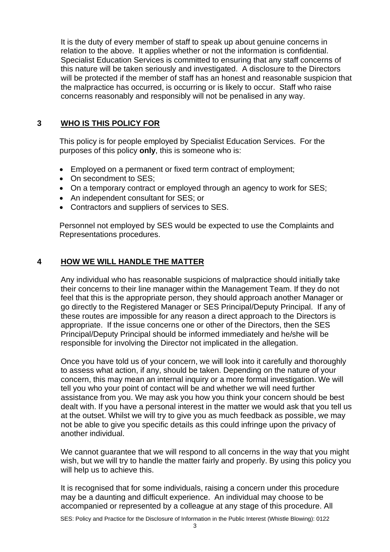It is the duty of every member of staff to speak up about genuine concerns in relation to the above. It applies whether or not the information is confidential. Specialist Education Services is committed to ensuring that any staff concerns of this nature will be taken seriously and investigated. A disclosure to the Directors will be protected if the member of staff has an honest and reasonable suspicion that the malpractice has occurred, is occurring or is likely to occur. Staff who raise concerns reasonably and responsibly will not be penalised in any way.

#### **3 WHO IS THIS POLICY FOR**

This policy is for people employed by Specialist Education Services. For the purposes of this policy **only**, this is someone who is:

- Employed on a permanent or fixed term contract of employment;
- On secondment to SES:
- On a temporary contract or employed through an agency to work for SES;
- An independent consultant for SES; or
- Contractors and suppliers of services to SES.

Personnel not employed by SES would be expected to use the Complaints and Representations procedures.

#### **4 HOW WE WILL HANDLE THE MATTER**

Any individual who has reasonable suspicions of malpractice should initially take their concerns to their line manager within the Management Team. If they do not feel that this is the appropriate person, they should approach another Manager or go directly to the Registered Manager or SES Principal/Deputy Principal. If any of these routes are impossible for any reason a direct approach to the Directors is appropriate. If the issue concerns one or other of the Directors, then the SES Principal/Deputy Principal should be informed immediately and he/she will be responsible for involving the Director not implicated in the allegation.

Once you have told us of your concern, we will look into it carefully and thoroughly to assess what action, if any, should be taken. Depending on the nature of your concern, this may mean an internal inquiry or a more formal investigation. We will tell you who your point of contact will be and whether we will need further assistance from you. We may ask you how you think your concern should be best dealt with. If you have a personal interest in the matter we would ask that you tell us at the outset. Whilst we will try to give you as much feedback as possible, we may not be able to give you specific details as this could infringe upon the privacy of another individual.

We cannot guarantee that we will respond to all concerns in the way that you might wish, but we will try to handle the matter fairly and properly. By using this policy you will help us to achieve this.

It is recognised that for some individuals, raising a concern under this procedure may be a daunting and difficult experience. An individual may choose to be accompanied or represented by a colleague at any stage of this procedure. All

SES: Policy and Practice for the Disclosure of Information in the Public Interest (Whistle Blowing): 0122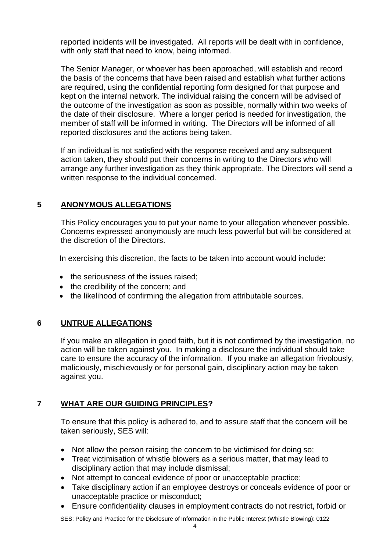reported incidents will be investigated. All reports will be dealt with in confidence, with only staff that need to know, being informed.

The Senior Manager, or whoever has been approached, will establish and record the basis of the concerns that have been raised and establish what further actions are required, using the confidential reporting form designed for that purpose and kept on the internal network. The individual raising the concern will be advised of the outcome of the investigation as soon as possible, normally within two weeks of the date of their disclosure. Where a longer period is needed for investigation, the member of staff will be informed in writing. The Directors will be informed of all reported disclosures and the actions being taken.

If an individual is not satisfied with the response received and any subsequent action taken, they should put their concerns in writing to the Directors who will arrange any further investigation as they think appropriate. The Directors will send a written response to the individual concerned.

#### **5 ANONYMOUS ALLEGATIONS**

This Policy encourages you to put your name to your allegation whenever possible. Concerns expressed anonymously are much less powerful but will be considered at the discretion of the Directors.

In exercising this discretion, the facts to be taken into account would include:

- the seriousness of the issues raised:
- the credibility of the concern; and
- the likelihood of confirming the allegation from attributable sources.

#### **6 UNTRUE ALLEGATIONS**

If you make an allegation in good faith, but it is not confirmed by the investigation, no action will be taken against you. In making a disclosure the individual should take care to ensure the accuracy of the information. If you make an allegation frivolously, maliciously, mischievously or for personal gain, disciplinary action may be taken against you.

### **7 WHAT ARE OUR GUIDING PRINCIPLES?**

To ensure that this policy is adhered to, and to assure staff that the concern will be taken seriously, SES will:

- Not allow the person raising the concern to be victimised for doing so;
- Treat victimisation of whistle blowers as a serious matter, that may lead to disciplinary action that may include dismissal;
- Not attempt to conceal evidence of poor or unacceptable practice;
- Take disciplinary action if an employee destroys or conceals evidence of poor or unacceptable practice or misconduct;
- Ensure confidentiality clauses in employment contracts do not restrict, forbid or

SES: Policy and Practice for the Disclosure of Information in the Public Interest (Whistle Blowing): 0122